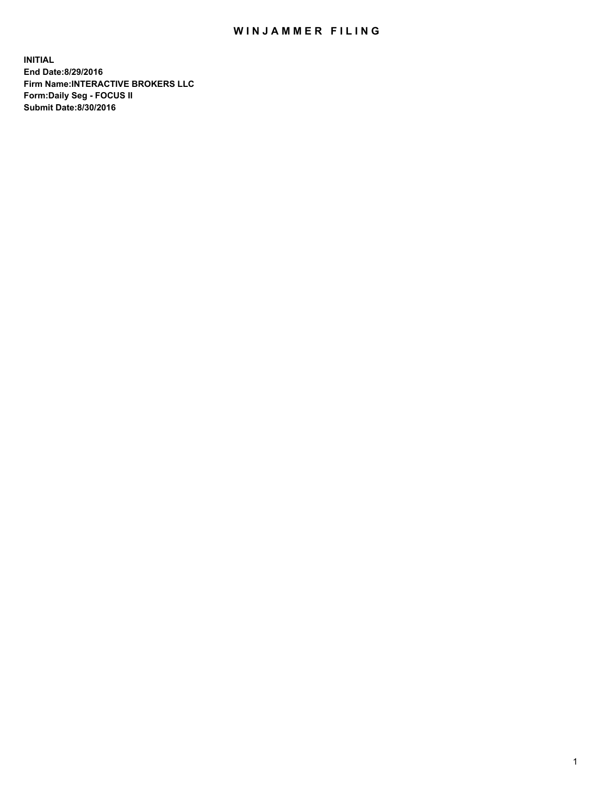## WIN JAMMER FILING

**INITIAL End Date:8/29/2016 Firm Name:INTERACTIVE BROKERS LLC Form:Daily Seg - FOCUS II Submit Date:8/30/2016**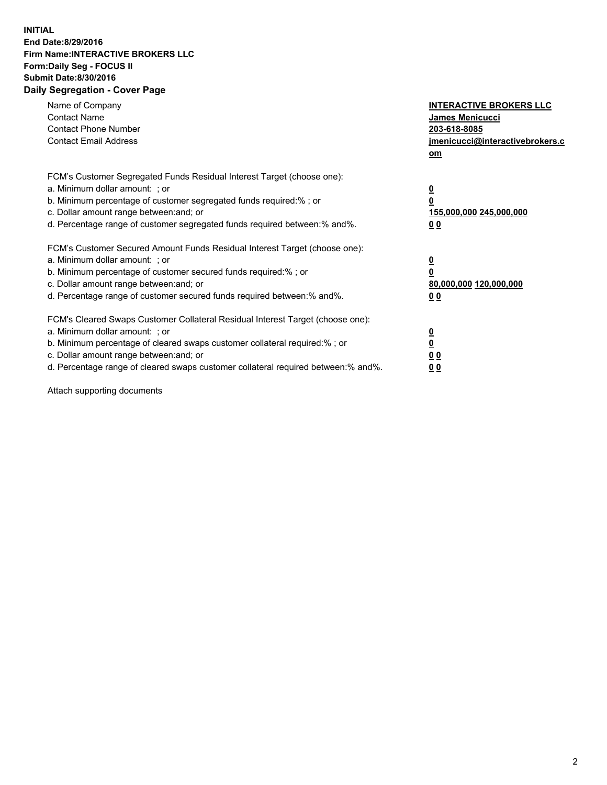## **INITIAL End Date:8/29/2016 Firm Name:INTERACTIVE BROKERS LLC Form:Daily Seg - FOCUS II Submit Date:8/30/2016 Daily Segregation - Cover Page**

| Name of Company<br><b>Contact Name</b><br><b>Contact Phone Number</b><br><b>Contact Email Address</b>                                                                                                                                                                                                                          | <b>INTERACTIVE BROKERS LLC</b><br>James Menicucci<br>203-618-8085<br>jmenicucci@interactivebrokers.c<br>om |
|--------------------------------------------------------------------------------------------------------------------------------------------------------------------------------------------------------------------------------------------------------------------------------------------------------------------------------|------------------------------------------------------------------------------------------------------------|
| FCM's Customer Segregated Funds Residual Interest Target (choose one):<br>a. Minimum dollar amount: ; or<br>b. Minimum percentage of customer segregated funds required:%; or<br>c. Dollar amount range between: and; or<br>d. Percentage range of customer segregated funds required between:% and%.                          | $\overline{\mathbf{0}}$<br>0<br>155,000,000 245,000,000<br>0 <sub>0</sub>                                  |
| FCM's Customer Secured Amount Funds Residual Interest Target (choose one):<br>a. Minimum dollar amount: ; or<br>b. Minimum percentage of customer secured funds required:%; or<br>c. Dollar amount range between: and; or<br>d. Percentage range of customer secured funds required between:% and%.                            | $\overline{\mathbf{0}}$<br>$\overline{\mathbf{0}}$<br>80,000,000 120,000,000<br>00                         |
| FCM's Cleared Swaps Customer Collateral Residual Interest Target (choose one):<br>a. Minimum dollar amount: ; or<br>b. Minimum percentage of cleared swaps customer collateral required:% ; or<br>c. Dollar amount range between: and; or<br>d. Percentage range of cleared swaps customer collateral required between:% and%. | $\overline{\mathbf{0}}$<br>$\overline{\mathbf{0}}$<br>0 <sub>0</sub><br><u>00</u>                          |

Attach supporting documents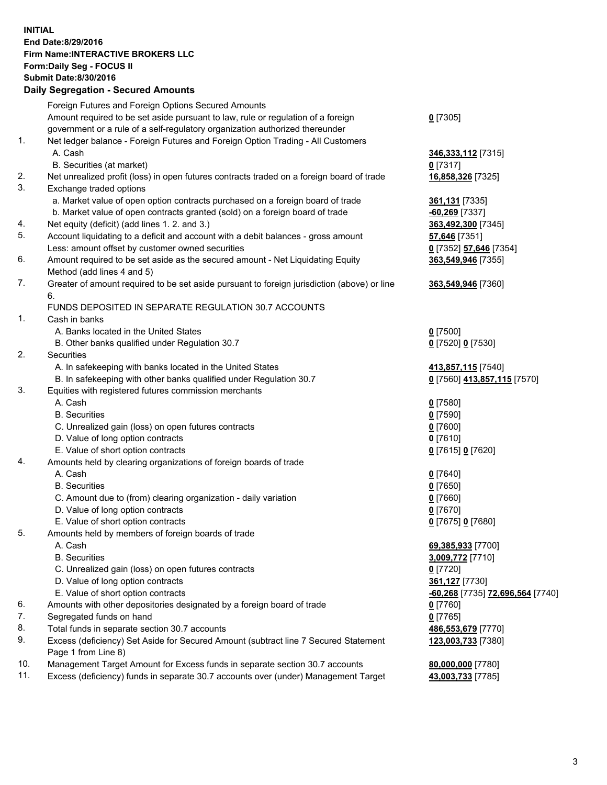## **INITIAL End Date:8/29/2016 Firm Name:INTERACTIVE BROKERS LLC Form:Daily Seg - FOCUS II Submit Date:8/30/2016 Daily Segregation - Secured Amounts**

|     | Daily Ocglegation - Occuled Amounts                                                                        |                                  |
|-----|------------------------------------------------------------------------------------------------------------|----------------------------------|
|     | Foreign Futures and Foreign Options Secured Amounts                                                        |                                  |
|     | Amount required to be set aside pursuant to law, rule or regulation of a foreign                           | $0$ [7305]                       |
|     | government or a rule of a self-regulatory organization authorized thereunder                               |                                  |
| 1.  | Net ledger balance - Foreign Futures and Foreign Option Trading - All Customers                            |                                  |
|     | A. Cash                                                                                                    | 346,333,112 [7315]               |
|     | B. Securities (at market)                                                                                  | $0$ [7317]                       |
| 2.  | Net unrealized profit (loss) in open futures contracts traded on a foreign board of trade                  | 16,858,326 [7325]                |
| 3.  | Exchange traded options                                                                                    |                                  |
|     | a. Market value of open option contracts purchased on a foreign board of trade                             | 361,131 [7335]                   |
|     | b. Market value of open contracts granted (sold) on a foreign board of trade                               | $-60,269$ [7337]                 |
| 4.  | Net equity (deficit) (add lines 1. 2. and 3.)                                                              | 363,492,300 [7345]               |
| 5.  | Account liquidating to a deficit and account with a debit balances - gross amount                          | 57,646 [7351]                    |
|     | Less: amount offset by customer owned securities                                                           | 0 [7352] 57,646 [7354]           |
| 6.  | Amount required to be set aside as the secured amount - Net Liquidating Equity                             | 363,549,946 [7355]               |
|     | Method (add lines 4 and 5)                                                                                 |                                  |
| 7.  | Greater of amount required to be set aside pursuant to foreign jurisdiction (above) or line                | 363,549,946 [7360]               |
|     | 6.                                                                                                         |                                  |
|     | FUNDS DEPOSITED IN SEPARATE REGULATION 30.7 ACCOUNTS                                                       |                                  |
| 1.  | Cash in banks                                                                                              |                                  |
|     | A. Banks located in the United States                                                                      | $0$ [7500]                       |
|     | B. Other banks qualified under Regulation 30.7                                                             | 0 [7520] 0 [7530]                |
| 2.  | Securities                                                                                                 |                                  |
|     | A. In safekeeping with banks located in the United States                                                  | 413,857,115 [7540]               |
|     | B. In safekeeping with other banks qualified under Regulation 30.7                                         | 0 [7560] 413,857,115 [7570]      |
| 3.  | Equities with registered futures commission merchants                                                      |                                  |
|     | A. Cash                                                                                                    | $0$ [7580]                       |
|     | <b>B.</b> Securities                                                                                       | $0$ [7590]                       |
|     | C. Unrealized gain (loss) on open futures contracts                                                        | $0$ [7600]                       |
|     | D. Value of long option contracts                                                                          | $0$ [7610]                       |
|     | E. Value of short option contracts                                                                         | 0 [7615] 0 [7620]                |
| 4.  | Amounts held by clearing organizations of foreign boards of trade                                          |                                  |
|     | A. Cash                                                                                                    | $0$ [7640]                       |
|     | <b>B.</b> Securities                                                                                       | $0$ [7650]                       |
|     | C. Amount due to (from) clearing organization - daily variation                                            | $0$ [7660]                       |
|     | D. Value of long option contracts                                                                          | $0$ [7670]                       |
|     | E. Value of short option contracts                                                                         | 0 [7675] 0 [7680]                |
| 5.  | Amounts held by members of foreign boards of trade                                                         |                                  |
|     | A. Cash                                                                                                    | 69,385,933 [7700]                |
|     | <b>B.</b> Securities                                                                                       | 3,009,772 [7710]                 |
|     | C. Unrealized gain (loss) on open futures contracts                                                        | $0$ [7720]                       |
|     | D. Value of long option contracts                                                                          | 361,127 [7730]                   |
|     | E. Value of short option contracts                                                                         | -60,268 [7735] 72,696,564 [7740] |
| 6.  | Amounts with other depositories designated by a foreign board of trade                                     | 0 [7760]                         |
| 7.  | Segregated funds on hand                                                                                   | $0$ [7765]                       |
| 8.  | Total funds in separate section 30.7 accounts                                                              | 486,553,679 [7770]               |
| 9.  | Excess (deficiency) Set Aside for Secured Amount (subtract line 7 Secured Statement<br>Page 1 from Line 8) | 123,003,733 [7380]               |
| 10. | Management Target Amount for Excess funds in separate section 30.7 accounts                                | 80,000,000 [7780]                |
| 11. | Excess (deficiency) funds in separate 30.7 accounts over (under) Management Target                         | 43,003,733 [7785]                |
|     |                                                                                                            |                                  |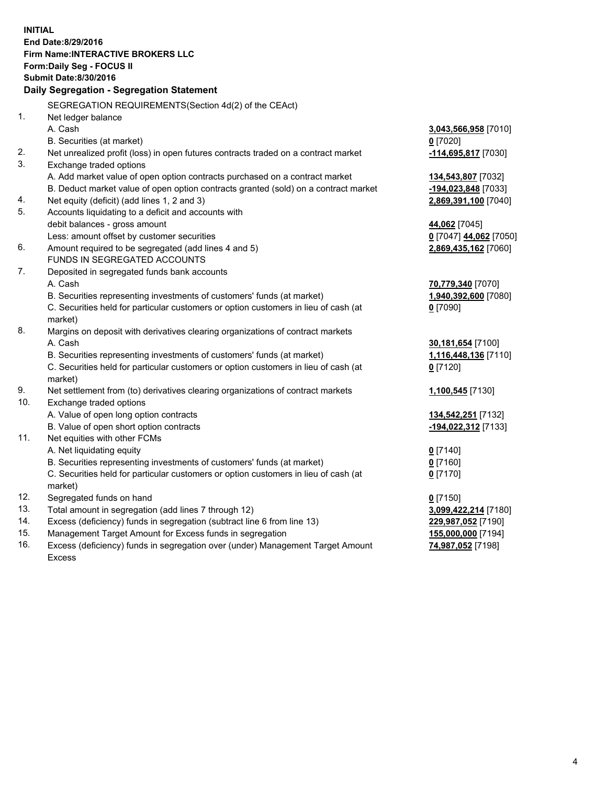**INITIAL End Date:8/29/2016 Firm Name:INTERACTIVE BROKERS LLC Form:Daily Seg - FOCUS II Submit Date:8/30/2016 Daily Segregation - Segregation Statement** SEGREGATION REQUIREMENTS(Section 4d(2) of the CEAct) 1. Net ledger balance A. Cash **3,043,566,958** [7010] B. Securities (at market) **0** [7020] 2. Net unrealized profit (loss) in open futures contracts traded on a contract market **-114,695,817** [7030] 3. Exchange traded options A. Add market value of open option contracts purchased on a contract market **134,543,807** [7032] B. Deduct market value of open option contracts granted (sold) on a contract market **-194,023,848** [7033] 4. Net equity (deficit) (add lines 1, 2 and 3) **2,869,391,100** [7040] 5. Accounts liquidating to a deficit and accounts with debit balances - gross amount **44,062** [7045] Less: amount offset by customer securities **0** [7047] **44,062** [7050] 6. Amount required to be segregated (add lines 4 and 5) **2,869,435,162** [7060] FUNDS IN SEGREGATED ACCOUNTS 7. Deposited in segregated funds bank accounts A. Cash **70,779,340** [7070] B. Securities representing investments of customers' funds (at market) **1,940,392,600** [7080] C. Securities held for particular customers or option customers in lieu of cash (at market) **0** [7090] 8. Margins on deposit with derivatives clearing organizations of contract markets A. Cash **30,181,654** [7100] B. Securities representing investments of customers' funds (at market) **1,116,448,136** [7110] C. Securities held for particular customers or option customers in lieu of cash (at market) **0** [7120] 9. Net settlement from (to) derivatives clearing organizations of contract markets **1,100,545** [7130] 10. Exchange traded options A. Value of open long option contracts **134,542,251** [7132] B. Value of open short option contracts **-194,022,312** [7133] 11. Net equities with other FCMs A. Net liquidating equity **0** [7140] B. Securities representing investments of customers' funds (at market) **0** [7160] C. Securities held for particular customers or option customers in lieu of cash (at market) **0** [7170] 12. Segregated funds on hand **0** [7150] 13. Total amount in segregation (add lines 7 through 12) **3,099,422,214** [7180] 14. Excess (deficiency) funds in segregation (subtract line 6 from line 13) **229,987,052** [7190] 15. Management Target Amount for Excess funds in segregation **155,000,000** [7194] **74,987,052** [7198]

16. Excess (deficiency) funds in segregation over (under) Management Target Amount Excess